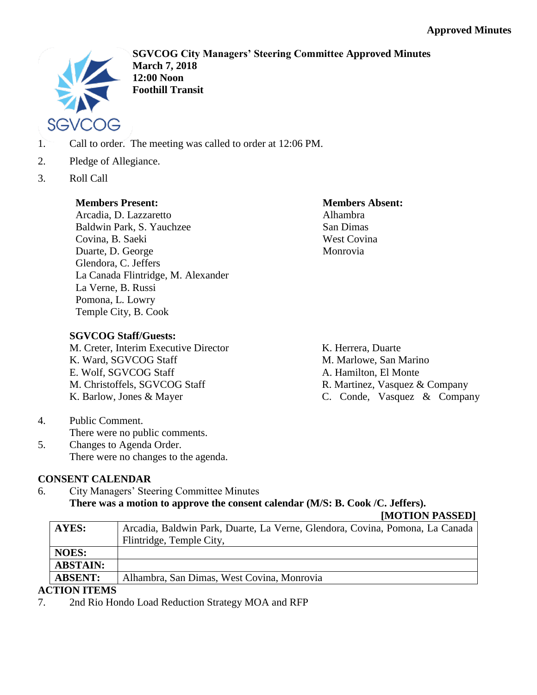

**SGVCOG City Managers' Steering Committee Approved Minutes March 7, 2018 12:00 Noon Foothill Transit**

- 1. Call to order. The meeting was called to order at 12:06 PM.
- 2. Pledge of Allegiance.
- 3. Roll Call

## **Members Present:**

Arcadia, D. Lazzaretto Baldwin Park, S. Yauchzee Covina, B. Saeki Duarte, D. George Glendora, C. Jeffers La Canada Flintridge, M. Alexander La Verne, B. Russi Pomona, L. Lowry Temple City, B. Cook

## **Members Absent:** Alhambra San Dimas West Covina Monrovia

## **SGVCOG Staff/Guests:**

M. Creter, Interim Executive Director K. Ward, SGVCOG Staff E. Wolf, SGVCOG Staff M. Christoffels, SGVCOG Staff K. Barlow, Jones & Mayer

K. Herrera, Duarte M. Marlowe, San Marino A. Hamilton, El Monte R. Martinez, Vasquez & Company C. Conde, Vasquez & Company

4. Public Comment. There were no public comments. 5. Changes to Agenda Order. There were no changes to the agenda.

# **CONSENT CALENDAR**

6. City Managers' Steering Committee Minutes **There was a motion to approve the consent calendar (M/S: B. Cook /C. Jeffers).**

## **[MOTION PASSED]**

| <b>AYES:</b>    | Arcadia, Baldwin Park, Duarte, La Verne, Glendora, Covina, Pomona, La Canada<br>Flintridge, Temple City, |
|-----------------|----------------------------------------------------------------------------------------------------------|
| <b>NOES:</b>    |                                                                                                          |
| <b>ABSTAIN:</b> |                                                                                                          |
| <b>ABSENT:</b>  | Alhambra, San Dimas, West Covina, Monrovia                                                               |

# **ACTION ITEMS**

7. 2nd Rio Hondo Load Reduction Strategy MOA and RFP